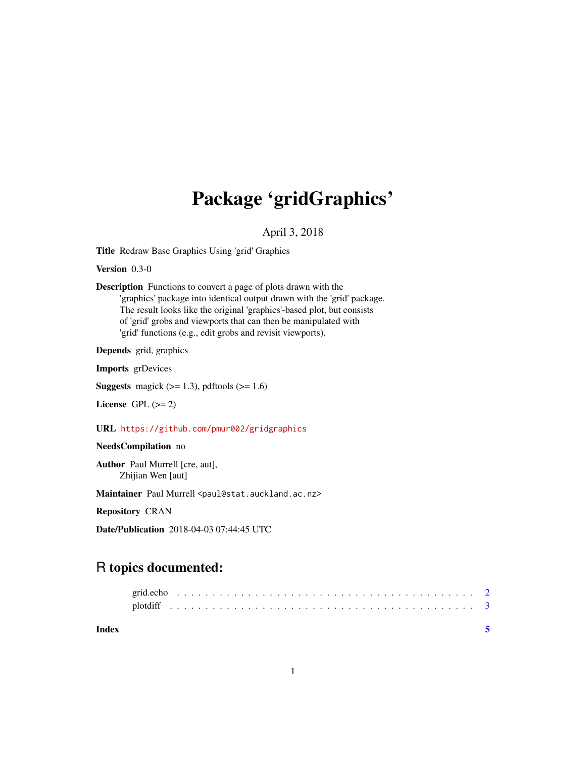## Package 'gridGraphics'

April 3, 2018

Title Redraw Base Graphics Using 'grid' Graphics

Version 0.3-0

Description Functions to convert a page of plots drawn with the 'graphics' package into identical output drawn with the 'grid' package. The result looks like the original 'graphics'-based plot, but consists of 'grid' grobs and viewports that can then be manipulated with 'grid' functions (e.g., edit grobs and revisit viewports).

Depends grid, graphics

Imports grDevices

**Suggests** magick  $(>= 1.3)$ , pdftools  $(>= 1.6)$ 

License GPL  $(>= 2)$ 

URL <https://github.com/pmur002/gridgraphics>

#### NeedsCompilation no

Author Paul Murrell [cre, aut], Zhijian Wen [aut]

Maintainer Paul Murrell <paul@stat.auckland.ac.nz>

Repository CRAN

Date/Publication 2018-04-03 07:44:45 UTC

### R topics documented:

| Index |  |  |  |  |  |  |  |  |  |  |  |  |  |  |  |  |  |  |  |  |  |
|-------|--|--|--|--|--|--|--|--|--|--|--|--|--|--|--|--|--|--|--|--|--|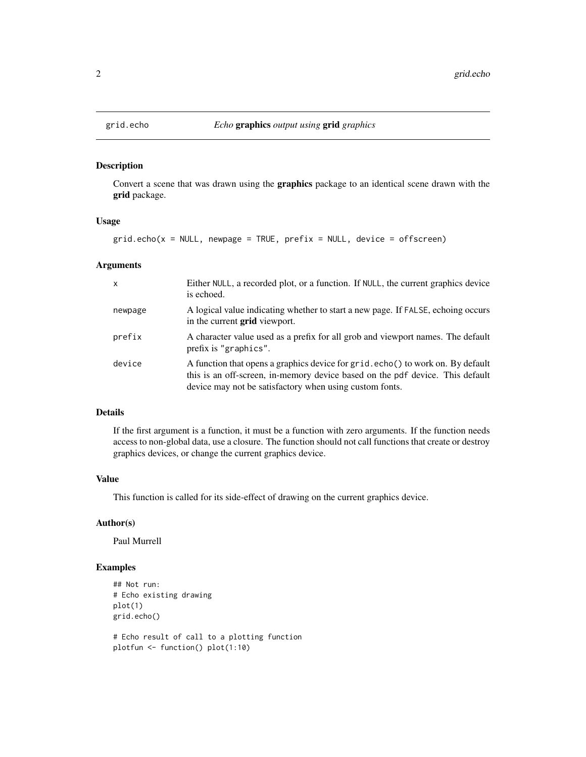#### Description

Convert a scene that was drawn using the graphics package to an identical scene drawn with the grid package.

#### Usage

 $grid.echo(x = NULL, newpage = TRUE, prefix = NULL, device = offscreen)$ 

#### Arguments

| $\mathsf{x}$ | Either NULL, a recorded plot, or a function. If NULL, the current graphics device<br>is echoed.                                                                                                                            |
|--------------|----------------------------------------------------------------------------------------------------------------------------------------------------------------------------------------------------------------------------|
| newpage      | A logical value indicating whether to start a new page. If FALSE, echoing occurs<br>in the current <b>grid</b> viewport.                                                                                                   |
| prefix       | A character value used as a prefix for all grob and viewport names. The default<br>prefix is "graphics".                                                                                                                   |
| device       | A function that opens a graphics device for grid.echo() to work on. By default<br>this is an off-screen, in-memory device based on the pdf device. This default<br>device may not be satisfactory when using custom fonts. |

#### Details

If the first argument is a function, it must be a function with zero arguments. If the function needs access to non-global data, use a closure. The function should not call functions that create or destroy graphics devices, or change the current graphics device.

#### Value

This function is called for its side-effect of drawing on the current graphics device.

#### Author(s)

Paul Murrell

#### Examples

```
## Not run:
# Echo existing drawing
plot(1)
grid.echo()
```

```
# Echo result of call to a plotting function
plotfun <- function() plot(1:10)
```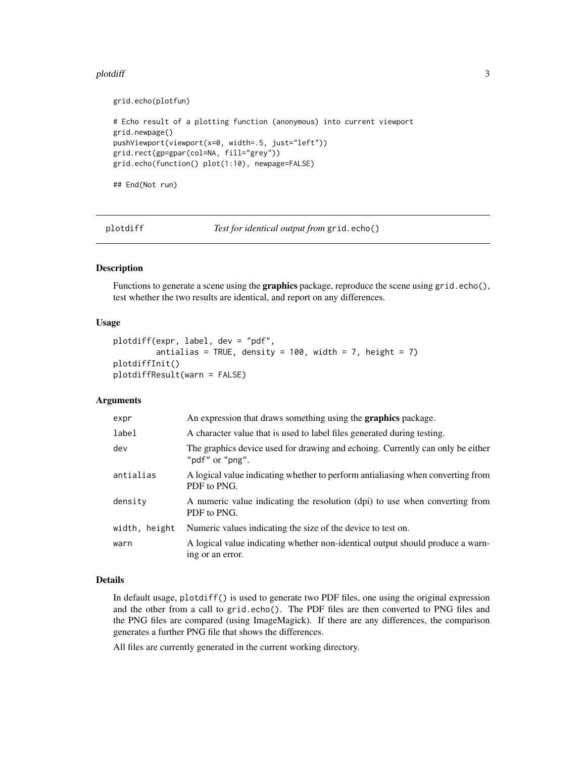#### <span id="page-2-0"></span>plotdiff 3

```
grid.echo(plotfun)
# Echo result of a plotting function (anonymous) into current viewport
grid.newpage()
pushViewport(viewport(x=0, width=.5, just="left"))
grid.rect(gp=gpar(col=NA, fill="grey"))
grid.echo(function() plot(1:10), newpage=FALSE)
```
## End(Not run)

plotdiff *Test for identical output from* grid.echo()

#### Description

Functions to generate a scene using the **graphics** package, reproduce the scene using  $grid$ . echo(), test whether the two results are identical, and report on any differences.

#### Usage

```
plotdiff(expr, label, dev = "pdf",
         antialias = TRUE, density = 100, width = 7, height = 7)
plotdiffInit()
plotdiffResult(warn = FALSE)
```
#### Arguments

| expr          | An expression that draws something using the <b>graphics</b> package.                              |
|---------------|----------------------------------------------------------------------------------------------------|
| label         | A character value that is used to label files generated during testing.                            |
| dev           | The graphics device used for drawing and echoing. Currently can only be either<br>"pdf" or "png".  |
| antialias     | A logical value indicating whether to perform antialiasing when converting from<br>PDF to PNG.     |
| density       | A numeric value indicating the resolution (dpi) to use when converting from<br>PDF to PNG.         |
| width, height | Numeric values indicating the size of the device to test on.                                       |
| warn          | A logical value indicating whether non-identical output should produce a warn-<br>ing or an error. |

#### Details

In default usage, plotdiff() is used to generate two PDF files, one using the original expression and the other from a call to grid.echo(). The PDF files are then converted to PNG files and the PNG files are compared (using ImageMagick). If there are any differences, the comparison generates a further PNG file that shows the differences.

All files are currently generated in the current working directory.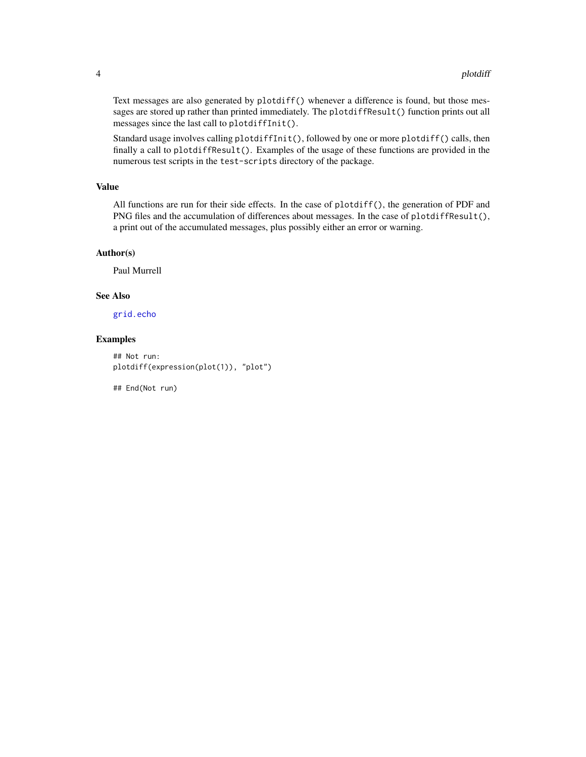<span id="page-3-0"></span>Text messages are also generated by plotdiff() whenever a difference is found, but those messages are stored up rather than printed immediately. The plotdiffResult() function prints out all messages since the last call to plotdiffInit().

Standard usage involves calling plotdiffInit(), followed by one or more plotdiff() calls, then finally a call to plotdiffResult(). Examples of the usage of these functions are provided in the numerous test scripts in the test-scripts directory of the package.

#### Value

All functions are run for their side effects. In the case of plotdiff(), the generation of PDF and PNG files and the accumulation of differences about messages. In the case of plotdiffResult(), a print out of the accumulated messages, plus possibly either an error or warning.

#### Author(s)

Paul Murrell

#### See Also

[grid.echo](#page-1-1)

#### Examples

```
## Not run:
plotdiff(expression(plot(1)), "plot")
```
## End(Not run)